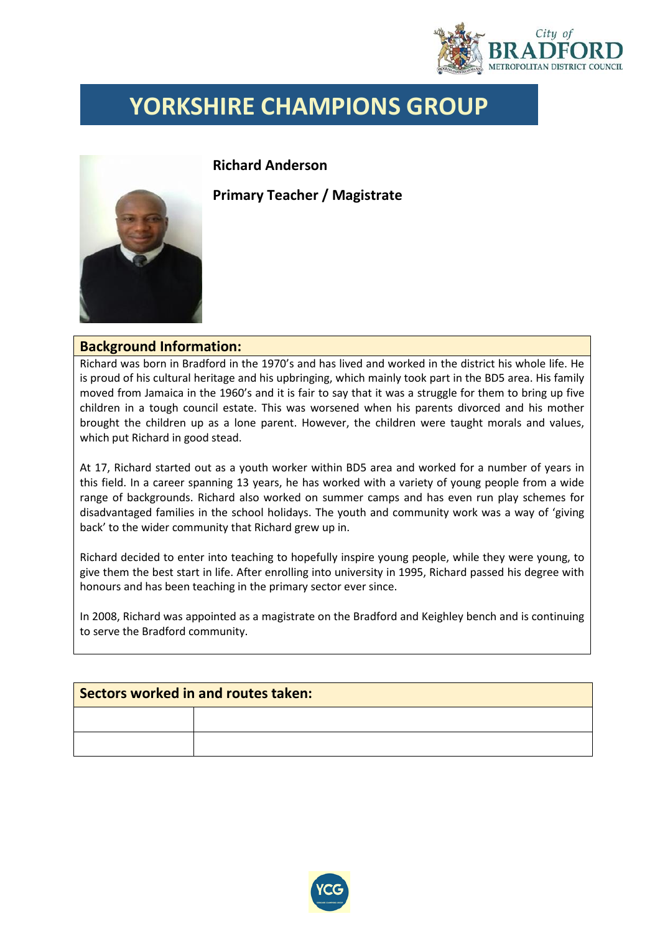

## **YORKSHIRE CHAMPIONS GROUP**



**Richard Anderson**

**Primary Teacher / Magistrate**

## **Background Information:**

Richard was born in Bradford in the 1970's and has lived and worked in the district his whole life. He is proud of his cultural heritage and his upbringing, which mainly took part in the BD5 area. His family moved from Jamaica in the 1960's and it is fair to say that it was a struggle for them to bring up five children in a tough council estate. This was worsened when his parents divorced and his mother brought the children up as a lone parent. However, the children were taught morals and values, which put Richard in good stead.

At 17, Richard started out as a youth worker within BD5 area and worked for a number of years in this field. In a career spanning 13 years, he has worked with a variety of young people from a wide range of backgrounds. Richard also worked on summer camps and has even run play schemes for disadvantaged families in the school holidays. The youth and community work was a way of 'giving back' to the wider community that Richard grew up in.

Richard decided to enter into teaching to hopefully inspire young people, while they were young, to give them the best start in life. After enrolling into university in 1995, Richard passed his degree with honours and has been teaching in the primary sector ever since.

In 2008, Richard was appointed as a magistrate on the Bradford and Keighley bench and is continuing to serve the Bradford community.

| Sectors worked in and routes taken: |  |  |  |
|-------------------------------------|--|--|--|
|                                     |  |  |  |
|                                     |  |  |  |